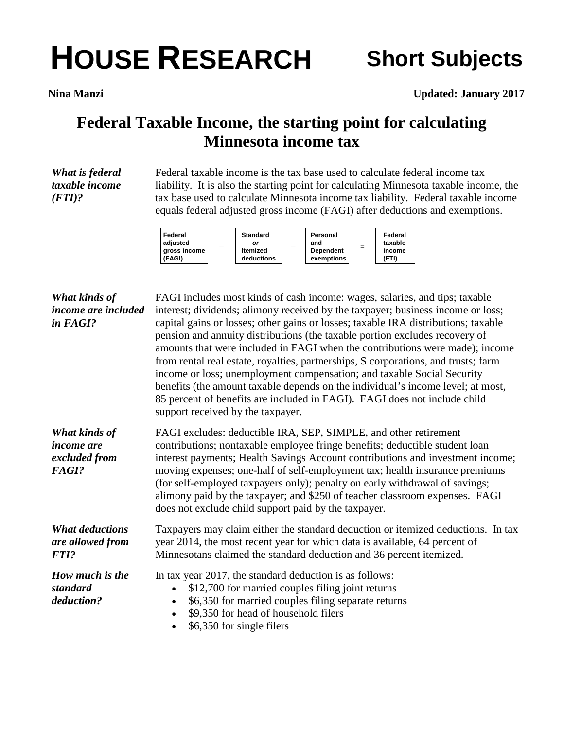## HOUSE RESEARCH Short Subjects

**Nina Manzi Updated: January 2017** 

## **Federal Taxable Income, the starting point for calculating Minnesota income tax**

*What is federal taxable income (FTI)?*

Federal taxable income is the tax base used to calculate federal income tax liability. It is also the starting point for calculating Minnesota taxable income, the tax base used to calculate Minnesota income tax liability. Federal taxable income equals federal adjusted gross income (FAGI) after deductions and exemptions.



| What kinds of                                                       | FAGI includes most kinds of cash income: wages, salaries, and tips; taxable                                                                                                                                                                                                                                                                                                                                                                                                                                                                                                                                            |
|---------------------------------------------------------------------|------------------------------------------------------------------------------------------------------------------------------------------------------------------------------------------------------------------------------------------------------------------------------------------------------------------------------------------------------------------------------------------------------------------------------------------------------------------------------------------------------------------------------------------------------------------------------------------------------------------------|
| income are included                                                 | interest; dividends; alimony received by the taxpayer; business income or loss;                                                                                                                                                                                                                                                                                                                                                                                                                                                                                                                                        |
| in FAGI?                                                            | capital gains or losses; other gains or losses; taxable IRA distributions; taxable<br>pension and annuity distributions (the taxable portion excludes recovery of<br>amounts that were included in FAGI when the contributions were made); income<br>from rental real estate, royalties, partnerships, S corporations, and trusts; farm<br>income or loss; unemployment compensation; and taxable Social Security<br>benefits (the amount taxable depends on the individual's income level; at most,<br>85 percent of benefits are included in FAGI). FAGI does not include child<br>support received by the taxpayer. |
| What kinds of<br><i>income are</i><br>excluded from<br><b>FAGI?</b> | FAGI excludes: deductible IRA, SEP, SIMPLE, and other retirement<br>contributions; nontaxable employee fringe benefits; deductible student loan<br>interest payments; Health Savings Account contributions and investment income;<br>moving expenses; one-half of self-employment tax; health insurance premiums<br>(for self-employed taxpayers only); penalty on early withdrawal of savings;<br>alimony paid by the taxpayer; and \$250 of teacher classroom expenses. FAGI<br>does not exclude child support paid by the taxpayer.                                                                                 |
| <b>What deductions</b><br>are allowed from<br><b>FTI?</b>           | Taxpayers may claim either the standard deduction or itemized deductions. In tax<br>year 2014, the most recent year for which data is available, 64 percent of<br>Minnesotans claimed the standard deduction and 36 percent itemized.                                                                                                                                                                                                                                                                                                                                                                                  |
| How much is the<br>standard<br>deduction?                           | In tax year 2017, the standard deduction is as follows:<br>\$12,700 for married couples filing joint returns<br>\$6,350 for married couples filing separate returns<br>\$9,350 for head of household filers<br>\$6,350 for single filers                                                                                                                                                                                                                                                                                                                                                                               |